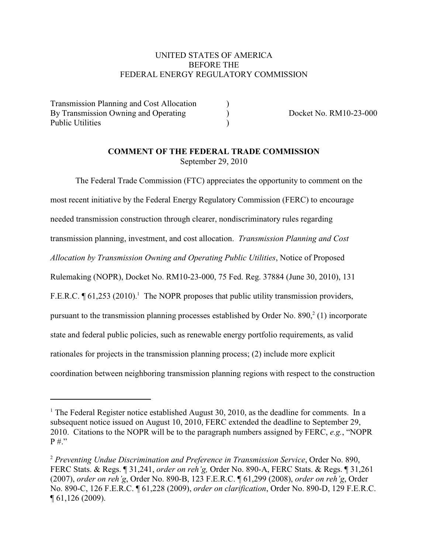# UNITED STATES OF AMERICA BEFORE THE FEDERAL ENERGY REGULATORY COMMISSION

Transmission Planning and Cost Allocation ) By Transmission Owning and Operating (a) Docket No. RM10-23-000 Public Utilities )

## **COMMENT OF THE FEDERAL TRADE COMMISSION** September 29, 2010

The Federal Trade Commission (FTC) appreciates the opportunity to comment on the most recent initiative by the Federal Energy Regulatory Commission (FERC) to encourage needed transmission construction through clearer, nondiscriminatory rules regarding transmission planning, investment, and cost allocation. *Transmission Planning and Cost Allocation by Transmission Owning and Operating Public Utilities*, Notice of Proposed Rulemaking (NOPR), Docket No. RM10-23-000, 75 Fed. Reg. 37884 (June 30, 2010), 131 F.E.R.C.  $\sqrt{\phantom{a}}$  61,253 (2010).<sup>1</sup> The NOPR proposes that public utility transmission providers, pursuant to the transmission planning processes established by Order No.  $890<sub>1</sub><sup>2</sup>$  (1) incorporate state and federal public policies, such as renewable energy portfolio requirements, as valid rationales for projects in the transmission planning process; (2) include more explicit coordination between neighboring transmission planning regions with respect to the construction

<sup>&</sup>lt;sup>1</sup> The Federal Register notice established August 30, 2010, as the deadline for comments. In a subsequent notice issued on August 10, 2010, FERC extended the deadline to September 29, 2010. Citations to the NOPR will be to the paragraph numbers assigned by FERC, *e.g.*, "NOPR P #."

*Preventing Undue Discrimination and Preference in Transmission Service*, Order No. 890, <sup>2</sup> FERC Stats. & Regs. ¶ 31,241, *order on reh'g,* Order No. 890-A, FERC Stats. & Regs. ¶ 31,261 (2007), *order on reh'g*, Order No. 890-B, 123 F.E.R.C. ¶ 61,299 (2008), *order on reh'g*, Order No. 890-C, 126 F.E.R.C. ¶ 61,228 (2009), *order on clarification*, Order No. 890-D, 129 F.E.R.C. ¶ 61,126 (2009).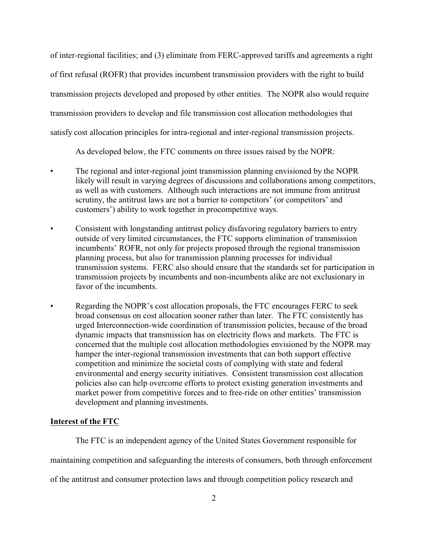of inter-regional facilities; and (3) eliminate from FERC-approved tariffs and agreements a right of first refusal (ROFR) that provides incumbent transmission providers with the right to build transmission projects developed and proposed by other entities. The NOPR also would require transmission providers to develop and file transmission cost allocation methodologies that satisfy cost allocation principles for intra-regional and inter-regional transmission projects.

As developed below, the FTC comments on three issues raised by the NOPR:

- The regional and inter-regional joint transmission planning envisioned by the NOPR likely will result in varying degrees of discussions and collaborations among competitors, as well as with customers. Although such interactions are not immune from antitrust scrutiny, the antitrust laws are not a barrier to competitors' (or competitors' and customers') ability to work together in procompetitive ways.
- Consistent with longstanding antitrust policy disfavoring regulatory barriers to entry outside of very limited circumstances, the FTC supports elimination of transmission incumbents' ROFR, not only for projects proposed through the regional transmission planning process, but also for transmission planning processes for individual transmission systems. FERC also should ensure that the standards set for participation in transmission projects by incumbents and non-incumbents alike are not exclusionary in favor of the incumbents.
- Regarding the NOPR's cost allocation proposals, the FTC encourages FERC to seek broad consensus on cost allocation sooner rather than later. The FTC consistently has urged Interconnection-wide coordination of transmission policies, because of the broad dynamic impacts that transmission has on electricity flows and markets. The FTC is concerned that the multiple cost allocation methodologies envisioned by the NOPR may hamper the inter-regional transmission investments that can both support effective competition and minimize the societal costs of complying with state and federal environmental and energy security initiatives. Consistent transmission cost allocation policies also can help overcome efforts to protect existing generation investments and market power from competitive forces and to free-ride on other entities' transmission development and planning investments.

#### **Interest of the FTC**

The FTC is an independent agency of the United States Government responsible for

maintaining competition and safeguarding the interests of consumers, both through enforcement

of the antitrust and consumer protection laws and through competition policy research and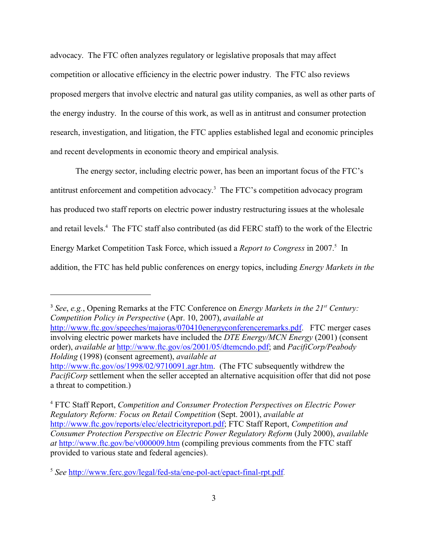advocacy. The FTC often analyzes regulatory or legislative proposals that may affect competition or allocative efficiency in the electric power industry. The FTC also reviews proposed mergers that involve electric and natural gas utility companies, as well as other parts of the energy industry. In the course of this work, as well as in antitrust and consumer protection research, investigation, and litigation, the FTC applies established legal and economic principles and recent developments in economic theory and empirical analysis.

The energy sector, including electric power, has been an important focus of the FTC's antitrust enforcement and competition advocacy.<sup>3</sup> The FTC's competition advocacy program has produced two staff reports on electric power industry restructuring issues at the wholesale and retail levels.<sup>4</sup> The FTC staff also contributed (as did FERC staff) to the work of the Electric Energy Market Competition Task Force, which issued a *Report to Congress* in 2007.<sup>5</sup> In addition, the FTC has held public conferences on energy topics, including *Energy Markets in the*

<sup>3</sup> *See*, *e.g.*, Opening Remarks at the FTC Conference on *Energy Markets in the*  $21^{st}$  *Century: Competition Policy in Perspective* (Apr. 10, 2007), *available at* <http://www.ftc.gov/speeches/majoras/070410energyconferenceremarks.pdf>. FTC merger cases involving electric power markets have included the *DTE Energy/MCN Energy* (2001) (consent order), *available at* [http://www.ftc.gov/os/2001/05/dtemcndo.pdf](http://wwwftc.gov/os/2001/05/dtemcndo.pdf); and *PacifiCorp/Peabody Holding* (1998) (consent agreement), *available at* [http://www.ftc.gov/os/1998/02/9710091.agr.htm](http:
//www.ftc.gov/os/1998/02/9710091.agr.htm). (The FTC subsequently withdrew the *PacifiCorp* settlement when the seller accepted an alternative acquisition offer that did not pose a threat to competition.)

 FTC Staff Report, *Competition and Consumer Protection Perspectives on Electric Power* <sup>4</sup> *Regulatory Reform: Focus on Retail Competition* (Sept. 2001), *available at* <http://www.ftc.gov/reports/elec/electricityreport.pdf>; FTC Staff Report, *Competition and Consumer Protection Perspective on Electric Power Regulatory Reform* (July 2000), *available at* <http://www.ftc.gov/be/v000009.htm> (compiling previous comments from the FTC staff provided to various state and federal agencies).

<sup>5</sup> See [http://www.ferc.gov/legal/fed-sta/ene-pol-act/epact-final-rpt.pdf](http://www.ferc.gov/legal/fed-sta/ene-pol-act/epact-fina-rpt.pdf).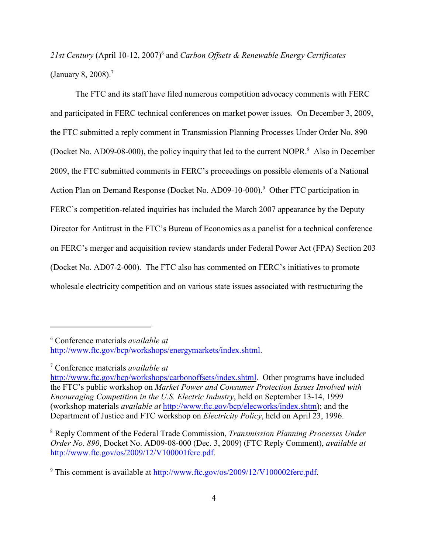21st Century (April 10-12, 2007)<sup>6</sup> and *Carbon Offsets & Renewable Energy Certificates* (January 8, 2008).<sup>7</sup>

The FTC and its staff have filed numerous competition advocacy comments with FERC and participated in FERC technical conferences on market power issues. On December 3, 2009, the FTC submitted a reply comment in Transmission Planning Processes Under Order No. 890 (Docket No. AD09-08-000), the policy inquiry that led to the current NOPR.<sup>8</sup> Also in December 2009, the FTC submitted comments in FERC's proceedings on possible elements of a National Action Plan on Demand Response (Docket No. AD09-10-000).<sup>9</sup> Other FTC participation in FERC's competition-related inquiries has included the March 2007 appearance by the Deputy Director for Antitrust in the FTC's Bureau of Economics as a panelist for a technical conference on FERC's merger and acquisition review standards under Federal Power Act (FPA) Section 203 (Docket No. AD07-2-000). The FTC also has commented on FERC's initiatives to promote wholesale electricity competition and on various state issues associated with restructuring the

Conference materials *available at* <sup>6</sup> <http://www.ftc.gov/bcp/workshops/energymarkets/index.shtml>.

Conference materials *available at* <sup>7</sup>

<http://www.ftc.gov/bcp/workshops/carbonoffsets/index.shtml>. Other programs have included the FTC's public workshop on *Market Power and Consumer Protection Issues Involved with Encouraging Competition in the U.S. Electric Industry*, held on September 13-14, 1999 (workshop materials *available at* [http://www.ftc.gov/bcp/elecworks/index.shtm](http://www/ftc.gov/bcp/elecworks/index.shtm)); and the Department of Justice and FTC workshop on *Electricity Policy*, held on April 23, 1996.

<sup>&</sup>lt;sup>8</sup> Reply Comment of the Federal Trade Commission, *Transmission Planning Processes Under Order No. 890*, Docket No. AD09-08-000 (Dec. 3, 2009) (FTC Reply Comment), *available at* <http://www.ftc.gov/os/2009/12/V100001ferc.pdf>.

<sup>&</sup>lt;sup>9</sup> This comment is available at <http://www.ftc.gov/os/2009/12/V100002ferc.pdf>.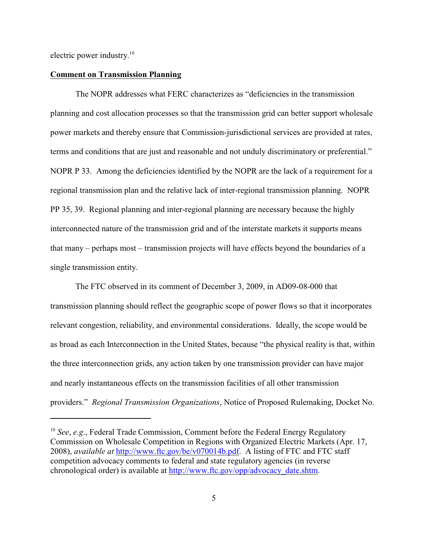electric power industry.<sup>10</sup>

#### **Comment on Transmission Planning**

The NOPR addresses what FERC characterizes as "deficiencies in the transmission planning and cost allocation processes so that the transmission grid can better support wholesale power markets and thereby ensure that Commission-jurisdictional services are provided at rates, terms and conditions that are just and reasonable and not unduly discriminatory or preferential." NOPR P 33. Among the deficiencies identified by the NOPR are the lack of a requirement for a regional transmission plan and the relative lack of inter-regional transmission planning. NOPR PP 35, 39. Regional planning and inter-regional planning are necessary because the highly interconnected nature of the transmission grid and of the interstate markets it supports means that many – perhaps most – transmission projects will have effects beyond the boundaries of a single transmission entity.

The FTC observed in its comment of December 3, 2009, in AD09-08-000 that transmission planning should reflect the geographic scope of power flows so that it incorporates relevant congestion, reliability, and environmental considerations. Ideally, the scope would be as broad as each Interconnection in the United States, because "the physical reality is that, within the three interconnection grids, any action taken by one transmission provider can have major and nearly instantaneous effects on the transmission facilities of all other transmission providers." *Regional Transmission Organizations*, Notice of Proposed Rulemaking, Docket No.

<sup>&</sup>lt;sup>10</sup> See, e.g., Federal Trade Commission, Comment before the Federal Energy Regulatory Commission on Wholesale Competition in Regions with Organized Electric Markets (Apr. 17, 2008), *available at* <http://www.ftc.gov/be/v070014b.pdf>. A listing of FTC and FTC staff competition advocacy comments to federal and state regulatory agencies (in reverse chronological order) is available at [http://www.ftc.gov/opp/advocacy\\_date.shtm](http://www.ftc.gov/opp/advocacy_date.shtm).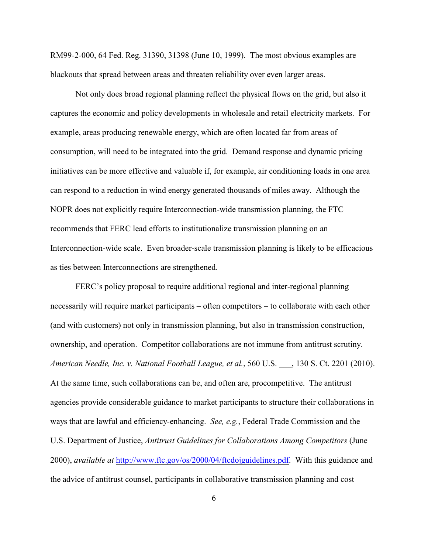RM99-2-000, 64 Fed. Reg. 31390, 31398 (June 10, 1999). The most obvious examples are blackouts that spread between areas and threaten reliability over even larger areas.

Not only does broad regional planning reflect the physical flows on the grid, but also it captures the economic and policy developments in wholesale and retail electricity markets. For example, areas producing renewable energy, which are often located far from areas of consumption, will need to be integrated into the grid. Demand response and dynamic pricing initiatives can be more effective and valuable if, for example, air conditioning loads in one area can respond to a reduction in wind energy generated thousands of miles away. Although the NOPR does not explicitly require Interconnection-wide transmission planning, the FTC recommends that FERC lead efforts to institutionalize transmission planning on an Interconnection-wide scale. Even broader-scale transmission planning is likely to be efficacious as ties between Interconnections are strengthened.

FERC's policy proposal to require additional regional and inter-regional planning necessarily will require market participants – often competitors – to collaborate with each other (and with customers) not only in transmission planning, but also in transmission construction, ownership, and operation. Competitor collaborations are not immune from antitrust scrutiny. *American Needle, Inc. v. National Football League, et al.*, 560 U.S. \_\_\_, 130 S. Ct. 2201 (2010). At the same time, such collaborations can be, and often are, procompetitive. The antitrust agencies provide considerable guidance to market participants to structure their collaborations in ways that are lawful and efficiency-enhancing. *See, e.g.*, Federal Trade Commission and the U.S. Department of Justice, *Antitrust Guidelines for Collaborations Among Competitors* (June 2000), *available at* <http://www.ftc.gov/os/2000/04/ftcdojguidelines.pdf>. With this guidance and the advice of antitrust counsel, participants in collaborative transmission planning and cost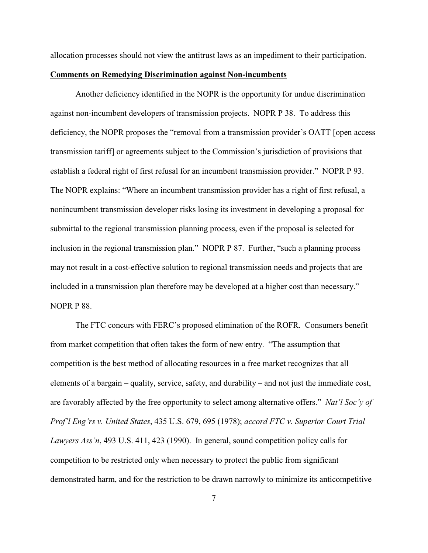allocation processes should not view the antitrust laws as an impediment to their participation.

#### **Comments on Remedying Discrimination against Non-incumbents**

Another deficiency identified in the NOPR is the opportunity for undue discrimination against non-incumbent developers of transmission projects. NOPR P 38. To address this deficiency, the NOPR proposes the "removal from a transmission provider's OATT [open access transmission tariff] or agreements subject to the Commission's jurisdiction of provisions that establish a federal right of first refusal for an incumbent transmission provider." NOPR P 93. The NOPR explains: "Where an incumbent transmission provider has a right of first refusal, a nonincumbent transmission developer risks losing its investment in developing a proposal for submittal to the regional transmission planning process, even if the proposal is selected for inclusion in the regional transmission plan." NOPR P 87. Further, "such a planning process may not result in a cost-effective solution to regional transmission needs and projects that are included in a transmission plan therefore may be developed at a higher cost than necessary." NOPR P 88.

The FTC concurs with FERC's proposed elimination of the ROFR. Consumers benefit from market competition that often takes the form of new entry. "The assumption that competition is the best method of allocating resources in a free market recognizes that all elements of a bargain – quality, service, safety, and durability – and not just the immediate cost, are favorably affected by the free opportunity to select among alternative offers." *Nat'l Soc'y of Prof'l Eng'rs v. United States*, 435 U.S. 679, 695 (1978); *accord FTC v. Superior Court Trial Lawyers Ass'n*, 493 U.S. 411, 423 (1990). In general, sound competition policy calls for competition to be restricted only when necessary to protect the public from significant demonstrated harm, and for the restriction to be drawn narrowly to minimize its anticompetitive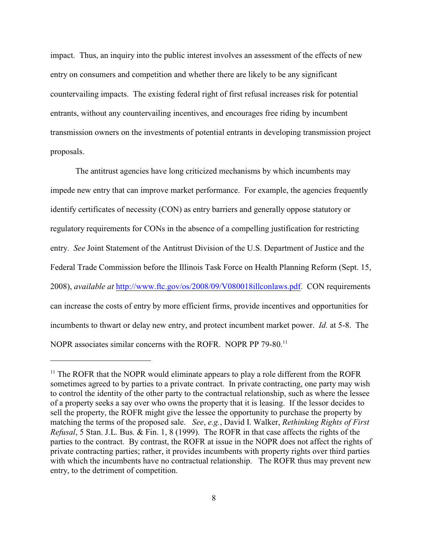impact. Thus, an inquiry into the public interest involves an assessment of the effects of new entry on consumers and competition and whether there are likely to be any significant countervailing impacts. The existing federal right of first refusal increases risk for potential entrants, without any countervailing incentives, and encourages free riding by incumbent transmission owners on the investments of potential entrants in developing transmission project proposals.

The antitrust agencies have long criticized mechanisms by which incumbents may impede new entry that can improve market performance. For example, the agencies frequently identify certificates of necessity (CON) as entry barriers and generally oppose statutory or regulatory requirements for CONs in the absence of a compelling justification for restricting entry. *See* Joint Statement of the Antitrust Division of the U.S. Department of Justice and the Federal Trade Commission before the Illinois Task Force on Health Planning Reform (Sept. 15, 2008), *available at* [http://www.ftc.gov/os/2008/09/V080018illconlaws.pdf](http://www.ftc.gov/os/2008/09/V080018illconlaws.pdf).). CON requirements can increase the costs of entry by more efficient firms, provide incentives and opportunities for incumbents to thwart or delay new entry, and protect incumbent market power. *Id.* at 5-8. The NOPR associates similar concerns with the ROFR. NOPR PP 79-80.<sup>11</sup>

 $11$  The ROFR that the NOPR would eliminate appears to play a role different from the ROFR sometimes agreed to by parties to a private contract. In private contracting, one party may wish to control the identity of the other party to the contractual relationship, such as where the lessee of a property seeks a say over who owns the property that it is leasing. If the lessor decides to sell the property, the ROFR might give the lessee the opportunity to purchase the property by matching the terms of the proposed sale. *See*, *e.g.*, David I. Walker, *Rethinking Rights of First Refusal*, 5 Stan. J.L. Bus. & Fin. 1, 8 (1999). The ROFR in that case affects the rights of the parties to the contract. By contrast, the ROFR at issue in the NOPR does not affect the rights of private contracting parties; rather, it provides incumbents with property rights over third parties with which the incumbents have no contractual relationship. The ROFR thus may prevent new entry, to the detriment of competition.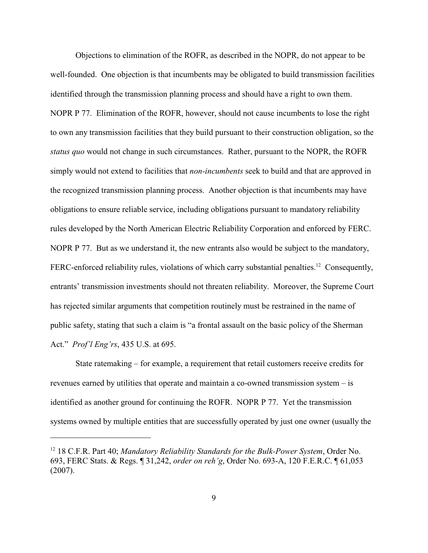Objections to elimination of the ROFR, as described in the NOPR, do not appear to be well-founded. One objection is that incumbents may be obligated to build transmission facilities identified through the transmission planning process and should have a right to own them. NOPR P 77. Elimination of the ROFR, however, should not cause incumbents to lose the right to own any transmission facilities that they build pursuant to their construction obligation, so the *status quo* would not change in such circumstances. Rather, pursuant to the NOPR, the ROFR simply would not extend to facilities that *non-incumbents* seek to build and that are approved in the recognized transmission planning process. Another objection is that incumbents may have obligations to ensure reliable service, including obligations pursuant to mandatory reliability rules developed by the North American Electric Reliability Corporation and enforced by FERC. NOPR P 77. But as we understand it, the new entrants also would be subject to the mandatory, FERC-enforced reliability rules, violations of which carry substantial penalties.<sup>12</sup> Consequently, entrants' transmission investments should not threaten reliability. Moreover, the Supreme Court has rejected similar arguments that competition routinely must be restrained in the name of public safety, stating that such a claim is "a frontal assault on the basic policy of the Sherman Act." *Prof'l Eng'rs*, 435 U.S. at 695.

State ratemaking – for example, a requirement that retail customers receive credits for revenues earned by utilities that operate and maintain a co-owned transmission system – is identified as another ground for continuing the ROFR. NOPR P 77. Yet the transmission systems owned by multiple entities that are successfully operated by just one owner (usually the

<sup>&</sup>lt;sup>12</sup> 18 C.F.R. Part 40; *Mandatory Reliability Standards for the Bulk-Power System*, Order No. 693, FERC Stats. & Regs. ¶ 31,242, *order on reh'g*, Order No. 693-A, 120 F.E.R.C. ¶ 61,053 (2007).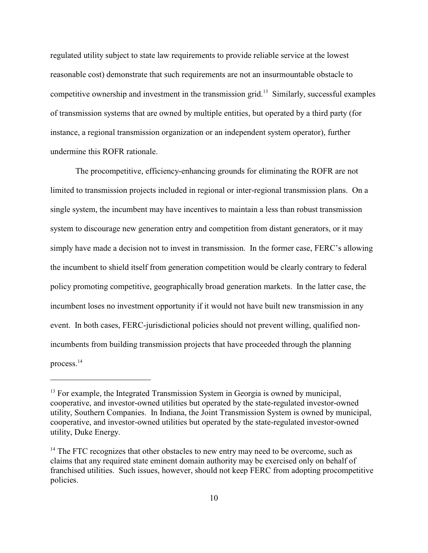regulated utility subject to state law requirements to provide reliable service at the lowest reasonable cost) demonstrate that such requirements are not an insurmountable obstacle to competitive ownership and investment in the transmission grid.<sup>13</sup> Similarly, successful examples of transmission systems that are owned by multiple entities, but operated by a third party (for instance, a regional transmission organization or an independent system operator), further undermine this ROFR rationale.

The procompetitive, efficiency-enhancing grounds for eliminating the ROFR are not limited to transmission projects included in regional or inter-regional transmission plans. On a single system, the incumbent may have incentives to maintain a less than robust transmission system to discourage new generation entry and competition from distant generators, or it may simply have made a decision not to invest in transmission. In the former case, FERC's allowing the incumbent to shield itself from generation competition would be clearly contrary to federal policy promoting competitive, geographically broad generation markets. In the latter case, the incumbent loses no investment opportunity if it would not have built new transmission in any event. In both cases, FERC-jurisdictional policies should not prevent willing, qualified nonincumbents from building transmission projects that have proceeded through the planning process.<sup>14</sup>

 $<sup>13</sup>$  For example, the Integrated Transmission System in Georgia is owned by municipal,</sup> cooperative, and investor-owned utilities but operated by the state-regulated investor-owned utility, Southern Companies. In Indiana, the Joint Transmission System is owned by municipal, cooperative, and investor-owned utilities but operated by the state-regulated investor-owned utility, Duke Energy.

 $14$  The FTC recognizes that other obstacles to new entry may need to be overcome, such as claims that any required state eminent domain authority may be exercised only on behalf of franchised utilities. Such issues, however, should not keep FERC from adopting procompetitive policies.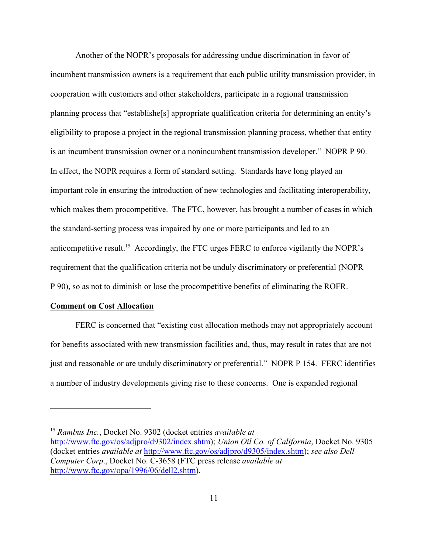Another of the NOPR's proposals for addressing undue discrimination in favor of incumbent transmission owners is a requirement that each public utility transmission provider, in cooperation with customers and other stakeholders, participate in a regional transmission planning process that "establishe[s] appropriate qualification criteria for determining an entity's eligibility to propose a project in the regional transmission planning process, whether that entity is an incumbent transmission owner or a nonincumbent transmission developer." NOPR P 90. In effect, the NOPR requires a form of standard setting. Standards have long played an important role in ensuring the introduction of new technologies and facilitating interoperability, which makes them procompetitive. The FTC, however, has brought a number of cases in which the standard-setting process was impaired by one or more participants and led to an anticompetitive result.<sup>15</sup> Accordingly, the FTC urges FERC to enforce vigilantly the NOPR's requirement that the qualification criteria not be unduly discriminatory or preferential (NOPR P 90), so as not to diminish or lose the procompetitive benefits of eliminating the ROFR.

### **Comment on Cost Allocation**

FERC is concerned that "existing cost allocation methods may not appropriately account for benefits associated with new transmission facilities and, thus, may result in rates that are not just and reasonable or are unduly discriminatory or preferential." NOPR P 154. FERC identifies a number of industry developments giving rise to these concerns. One is expanded regional

<sup>&</sup>lt;sup>15</sup> Rambus Inc., Docket No. 9302 (docket entries *available at* <http://www.ftc.gov/os/adjpro/d9302/index.shtm>); *Union Oil Co. of California*, Docket No. 9305 (docket entries *available at* <http://www.ftc.gov/os/adjpro/d9305/index.shtm>); *see also Dell Computer Corp*., Docket No. C-3658 (FTC press release *available at* <http://www.ftc.gov/opa/1996/06/dell2.shtm>).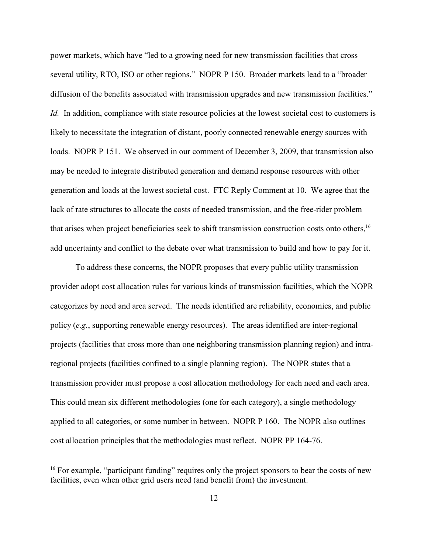power markets, which have "led to a growing need for new transmission facilities that cross several utility, RTO, ISO or other regions." NOPR P 150. Broader markets lead to a "broader diffusion of the benefits associated with transmission upgrades and new transmission facilities." *Id.* In addition, compliance with state resource policies at the lowest societal cost to customers is likely to necessitate the integration of distant, poorly connected renewable energy sources with loads. NOPR P 151. We observed in our comment of December 3, 2009, that transmission also may be needed to integrate distributed generation and demand response resources with other generation and loads at the lowest societal cost. FTC Reply Comment at 10. We agree that the lack of rate structures to allocate the costs of needed transmission, and the free-rider problem that arises when project beneficiaries seek to shift transmission construction costs onto others,<sup>16</sup> add uncertainty and conflict to the debate over what transmission to build and how to pay for it.

To address these concerns, the NOPR proposes that every public utility transmission provider adopt cost allocation rules for various kinds of transmission facilities, which the NOPR categorizes by need and area served. The needs identified are reliability, economics, and public policy (*e.g.*, supporting renewable energy resources). The areas identified are inter-regional projects (facilities that cross more than one neighboring transmission planning region) and intraregional projects (facilities confined to a single planning region). The NOPR states that a transmission provider must propose a cost allocation methodology for each need and each area. This could mean six different methodologies (one for each category), a single methodology applied to all categories, or some number in between. NOPR P 160. The NOPR also outlines cost allocation principles that the methodologies must reflect. NOPR PP 164-76.

 $16$  For example, "participant funding" requires only the project sponsors to bear the costs of new facilities, even when other grid users need (and benefit from) the investment.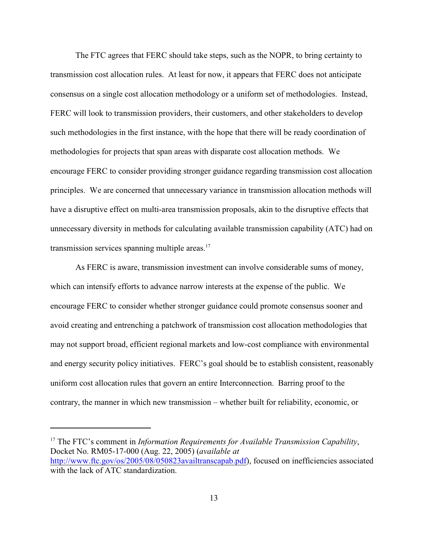The FTC agrees that FERC should take steps, such as the NOPR, to bring certainty to transmission cost allocation rules. At least for now, it appears that FERC does not anticipate consensus on a single cost allocation methodology or a uniform set of methodologies. Instead, FERC will look to transmission providers, their customers, and other stakeholders to develop such methodologies in the first instance, with the hope that there will be ready coordination of methodologies for projects that span areas with disparate cost allocation methods. We encourage FERC to consider providing stronger guidance regarding transmission cost allocation principles. We are concerned that unnecessary variance in transmission allocation methods will have a disruptive effect on multi-area transmission proposals, akin to the disruptive effects that unnecessary diversity in methods for calculating available transmission capability (ATC) had on transmission services spanning multiple areas.<sup>17</sup>

As FERC is aware, transmission investment can involve considerable sums of money, which can intensify efforts to advance narrow interests at the expense of the public. We encourage FERC to consider whether stronger guidance could promote consensus sooner and avoid creating and entrenching a patchwork of transmission cost allocation methodologies that may not support broad, efficient regional markets and low-cost compliance with environmental and energy security policy initiatives. FERC's goal should be to establish consistent, reasonably uniform cost allocation rules that govern an entire Interconnection. Barring proof to the contrary, the manner in which new transmission – whether built for reliability, economic, or

<sup>&</sup>lt;sup>17</sup> The FTC's comment in *Information Requirements for Available Transmission Capability*, Docket No. RM05-17-000 (Aug. 22, 2005) (*available at* <http://www.ftc.gov/os/2005/08/050823availtranscapab.pdf>), focused on inefficiencies associated with the lack of ATC standardization.